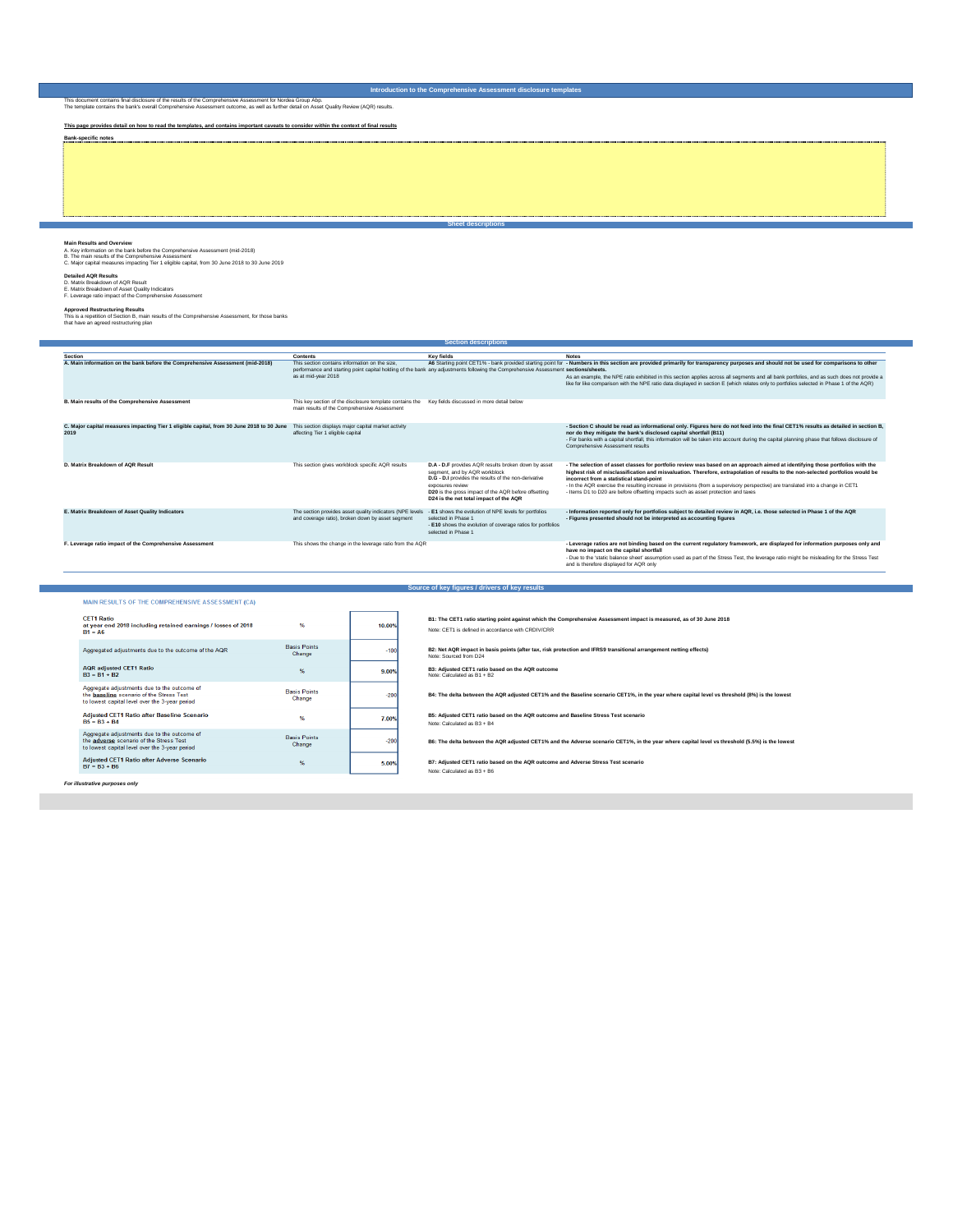# This document contains final disclosure of the results of the Comprehensive Assessment for Nordea Group Abp. The template contains the bank's overall Comprehensive Assessment outcome, as well as further detail on Asset Quality Review (AQR) results.

# **This page provides detail on how to read the templates, and contains important caveats to consider within the context of final results**

# **Bank-specific notes**

# **Main Results and Overview**

A. Key information on the bank before the Comprehensive Assessment (mid-2018) B. The main results of the Comprehensive Assessment C. Major capital measures impacting Tier 1 eligible capital, from 30 June 2018 to 30 June 2019

# **Detailed AQR Results**

D. Matrix Breakdown of AQR Result E. Matrix Breakdown of Asset Quality Indicators F. Leverage ratio impact of the Comprehensive Assessment

# **Approved Restructuring Results**

This is a repetition of Section B, main results of the Comprehensive Assessment, for those banks that have an agreed restructuring plan

| C. Major capital measures impacting Tier 1 eligible capital, from 30 June 2018 to 30 June<br>2019 | This section displays major capital market activity<br>affecting Tier 1 eligible capital                       |                                                                                                                                                                                                                                                                                         | - Section C should be read as informational only. Figures here do not feed into the final CET1% results as detailed in section B,<br>nor do they mitigate the bank's disclosed capital shortfall (B11)<br>- For banks with a capital shortfall, this information will be taken into account during the capital planning phase that follows disclosure of<br><b>Comprehensive Assessment results</b>                                                                                                                                    |
|---------------------------------------------------------------------------------------------------|----------------------------------------------------------------------------------------------------------------|-----------------------------------------------------------------------------------------------------------------------------------------------------------------------------------------------------------------------------------------------------------------------------------------|----------------------------------------------------------------------------------------------------------------------------------------------------------------------------------------------------------------------------------------------------------------------------------------------------------------------------------------------------------------------------------------------------------------------------------------------------------------------------------------------------------------------------------------|
| D. Matrix Breakdown of AQR Result                                                                 | This section gives workblock specific AQR results                                                              | <b>D.A - D.F</b> provides AQR results broken down by asset<br>segment, and by AQR workblock<br><b>D.G - D.I</b> provides the results of the non-derivative<br>exposures review<br><b>D20</b> is the gross impact of the AQR before offsetting<br>D24 is the net total impact of the AQR | - The selection of asset classes for portfolio review was based on an approach aimed at identifying those portfolios with the<br>highest risk of misclassification and misvaluation. Therefore, extrapolation of results to the non-selected portfolios would be<br>incorrect from a statistical stand-point<br>- In the AQR exercise the resulting increase in provisions (from a supervisory perspective) are translated into a change in CET1<br>- Items D1 to D20 are before offsetting impacts such as asset protection and taxes |
| E. Matrix Breakdown of Asset Quality Indicators                                                   | The section provides asset quality indicators (NPE levels<br>and coverage ratio), broken down by asset segment | - E1 shows the evolution of NPE levels for portfolios<br>selected in Phase 1<br>- E10 shows the evolution of coverage ratios for portfolios<br>selected in Phase 1                                                                                                                      | - Information reported only for portfolios subject to detailed review in AQR, i.e. those selected in Phase 1 of the AQR<br>- Figures presented should not be interpreted as accounting figures                                                                                                                                                                                                                                                                                                                                         |
| F. Leverage ratio impact of the Comprehensive Assessment                                          | This shows the change in the leverage ratio from the AQR                                                       |                                                                                                                                                                                                                                                                                         | - Leverage ratios are not binding based on the current regulatory framework, are displayed for information purposes only and<br>have no impact on the capital shortfall<br>- Due to the 'static balance sheet' assumption used as part of the Stress Test, the leverage ratio might be misleading for the Stress Test<br>and is therefore displayed for AQR only                                                                                                                                                                       |

|                                                                                |                                                                                                    | <b>Section descriptions</b>                                                                                                        |                                                                                                                                                                                       |
|--------------------------------------------------------------------------------|----------------------------------------------------------------------------------------------------|------------------------------------------------------------------------------------------------------------------------------------|---------------------------------------------------------------------------------------------------------------------------------------------------------------------------------------|
|                                                                                |                                                                                                    |                                                                                                                                    |                                                                                                                                                                                       |
| <b>Section</b>                                                                 | <b>Contents</b>                                                                                    | <b>Key fields</b>                                                                                                                  | <b>Notes</b>                                                                                                                                                                          |
| A. Main information on the bank before the Comprehensive Assessment (mid-2018) | This section contains information on the size,                                                     |                                                                                                                                    | A6 Starting point CET1% - bank provided starting point for - Numbers in this section are provided primarily for transparency purposes and should not be used for comparisons to other |
|                                                                                |                                                                                                    | performance and starting point capital holding of the bank any adjustments following the Comprehensive Assessment sections/sheets. |                                                                                                                                                                                       |
|                                                                                | as at mid-year 2018                                                                                |                                                                                                                                    | As an example, the NPE ratio exhibited in this section applies across all segments and all bank portfolios, and as such does not provide a                                            |
|                                                                                |                                                                                                    |                                                                                                                                    | like for like comparison with the NPE ratio data displayed in section E (which relates only to portfolios selected in Phase 1 of the AQR)                                             |
|                                                                                |                                                                                                    |                                                                                                                                    |                                                                                                                                                                                       |
|                                                                                |                                                                                                    |                                                                                                                                    |                                                                                                                                                                                       |
| <b>B. Main results of the Comprehensive Assessment</b>                         | This key section of the disclosure template contains the Key fields discussed in more detail below |                                                                                                                                    |                                                                                                                                                                                       |
|                                                                                | main results of the Comprehensive Assessment                                                       |                                                                                                                                    |                                                                                                                                                                                       |

# *For illustrative purposes only*

| B1: The CET1 ratio starting point against which the Comprehensive Assessment impact is measured, as of 30 June 2018                            |
|------------------------------------------------------------------------------------------------------------------------------------------------|
| Note: CET1 is defined in accordance with CRDIV/CRR                                                                                             |
| B2: Net AQR impact in basis points (after tax, risk protection and IFRS9 transitional arrangement netting effects)<br>Note: Sourced from D24   |
| B3: Adjusted CET1 ratio based on the AQR outcome<br>Note: Calculated as B1 + B2                                                                |
| B4: The delta between the AQR adjusted CET1% and the Baseline scenario CET1%, in the year where capital level vs threshold (8%) is the lowest  |
| B5: Adjusted CET1 ratio based on the AQR outcome and Baseline Stress Test scenario<br>Note: Calculated as $B3 + B4$                            |
| B6: The delta between the AQR adjusted CET1% and the Adverse scenario CET1%, in the year where capital level vs threshold (5.5%) is the lowest |
| B7: Adjusted CET1 ratio based on the AQR outcome and Adverse Stress Test scenario                                                              |
| Note: Calculated as B3 + B6                                                                                                                    |

# **Introduction to the Comprehensive Assessment disclosure templates**

**Sheet descriptions**

# **Source of key figures / drivers of key results**

# MAIN RESULTS OF THE COMPREHENSIVE ASSESSMENT (CA)

| <b>CET1 Ratio</b><br>at year end 2018 including retained earnings / losses of 2018<br>$B1 = A6$                                                  | %                             | 10.00% |
|--------------------------------------------------------------------------------------------------------------------------------------------------|-------------------------------|--------|
| Aggregated adjustments due to the outcome of the AQR                                                                                             | <b>Basis Points</b><br>Change | $-100$ |
| <b>AQR</b> adjusted CET1 Ratio<br>$B3 = B1 + B2$                                                                                                 | %                             | 9.00%  |
| Aggregate adjustments due to the outcome of<br>the <b>baseline</b> scenario of the Stress Test<br>to lowest capital level over the 3-year period | <b>Basis Points</b><br>Change | $-200$ |
| <b>Adjusted CET1 Ratio after Baseline Scenario</b><br>$B5 = B3 + B4$                                                                             | %                             | 7.00%  |
| Aggregate adjustments due to the outcome of<br>the <b>adverse</b> scenario of the Stress Test<br>to lowest capital level over the 3-year period  | <b>Basis Points</b><br>Change | $-200$ |
| <b>Adjusted CET1 Ratio after Adverse Scenario</b><br>$B7 = B3 + B6$                                                                              | %                             | 5.00%  |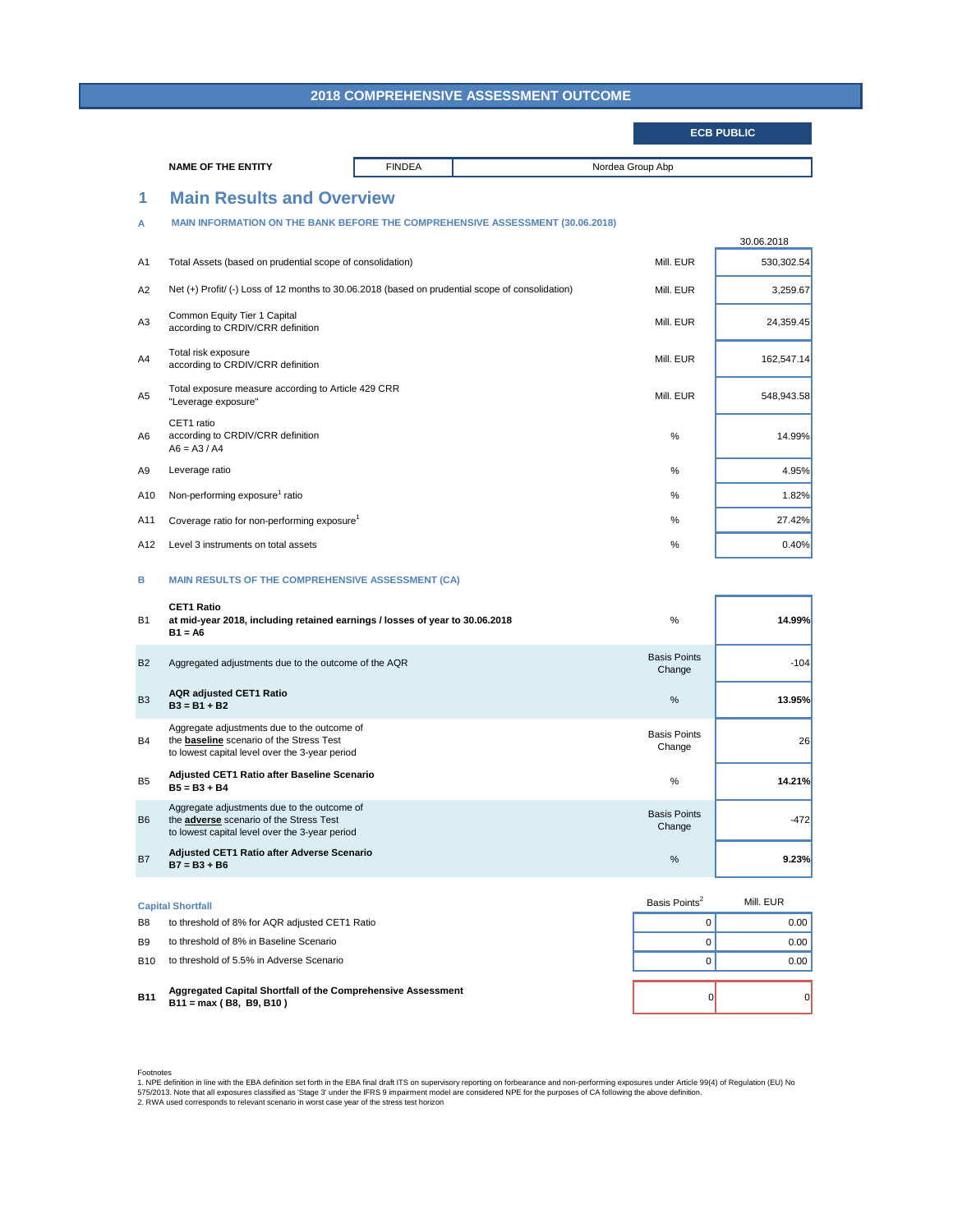### **B MAIN RESULTS OF THE COMPREHENSIVE ASSESSMENT (CA)**

|      | <b>Capital Shortfall</b>                       | Basis Points <sup>2</sup> | Mill. EUR |
|------|------------------------------------------------|---------------------------|-----------|
| B8   | to threshold of 8% for AQR adjusted CET1 Ratio |                           | 0.00      |
| B9   | to threshold of 8% in Baseline Scenario        |                           | 0.00      |
| B10. | to threshold of 5.5% in Adverse Scenario       |                           | 0.00      |

- B8 0 0.00 to threshold of 8% for AQR adjusted CET1 Ratio
- 
- B10 0 0.00 to threshold of 5.5% in Adverse Scenario
- **Aggregated Capital Shortfall of the Comprehensive Assessment**

### **B7 = B3 + B6**

### **Capital Shortfall**



Footnotes

### **1 Main Results and Overview**

### **A MAIN INFORMATION ON THE BANK BEFORE THE COMPREHENSIVE ASSESSMENT (30.06.2018)**

| <b>B1</b>      | <b>CET1 Ratio</b><br>at mid-year 2018, including retained earnings / losses of year to 30.06.2018<br>$B1 = A6$                                   | %                             | 14.99% |
|----------------|--------------------------------------------------------------------------------------------------------------------------------------------------|-------------------------------|--------|
| <b>B2</b>      | Aggregated adjustments due to the outcome of the AQR                                                                                             | <b>Basis Points</b><br>Change | $-104$ |
| <b>B3</b>      | <b>AQR adjusted CET1 Ratio</b><br>$B3 = B1 + B2$                                                                                                 | $\frac{0}{0}$                 | 13.95% |
| <b>B4</b>      | Aggregate adjustments due to the outcome of<br>the <b>baseline</b> scenario of the Stress Test<br>to lowest capital level over the 3-year period | <b>Basis Points</b><br>Change | 26     |
| B <sub>5</sub> | <b>Adjusted CET1 Ratio after Baseline Scenario</b><br>$B5 = B3 + B4$                                                                             | $\frac{0}{0}$                 | 14.21% |
| <b>B6</b>      | Aggregate adjustments due to the outcome of<br>the adverse scenario of the Stress Test<br>to lowest capital level over the 3-year period         | <b>Basis Points</b><br>Change | $-472$ |
| <b>B7</b>      | <b>Adjusted CET1 Ratio after Adverse Scenario</b><br>$R7 - R3 + R6$                                                                              | $\frac{0}{0}$                 | 9.23%  |

1. NPE definition in line with the EBA definition set forth in the EBA final draft ITS on supervisory reporting on forbearance and non-performing exposures under Article 99(4) of Regulation (EU) No 575/2013. Note that all exposures classified as 'Stage 3' under the IFRS 9 impairment model are considered NPE for the purposes of CA following the above definition.

|                |                                                                                                  |           | 30.06.2018 |
|----------------|--------------------------------------------------------------------------------------------------|-----------|------------|
| A <sub>1</sub> | Total Assets (based on prudential scope of consolidation)                                        | Mill. EUR | 530,302.54 |
| A2             | Net (+) Profit/ (-) Loss of 12 months to 30.06.2018 (based on prudential scope of consolidation) | Mill. EUR | 3,259.67   |
| A3             | Common Equity Tier 1 Capital<br>according to CRDIV/CRR definition                                | Mill. EUR | 24,359.45  |
| A4             | Total risk exposure<br>according to CRDIV/CRR definition                                         | Mill. EUR | 162,547.14 |
| A <sub>5</sub> | Total exposure measure according to Article 429 CRR<br>"Leverage exposure"                       | Mill. EUR | 548,943.58 |
| A6             | CET1 ratio<br>according to CRDIV/CRR definition<br>$A6 = A3 / A4$                                | $\%$      | 14.99%     |
| A <sub>9</sub> | Leverage ratio                                                                                   | %         | 4.95%      |
| A10            | Non-performing exposure <sup>1</sup> ratio                                                       | $\%$      | 1.82%      |
| A11            | Coverage ratio for non-performing exposure <sup>1</sup>                                          | $\%$      | 27.42%     |
| A12            | Level 3 instruments on total assets                                                              | %         | 0.40%      |

2. RWA used corresponds to relevant scenario in worst case year of the stress test horizon

# **2018 COMPREHENSIVE ASSESSMENT OUTCOME**

| <b>ECB PUBLIC</b> |  |  |
|-------------------|--|--|

**NAME OF THE ENTITY EINDEA** FINDEA **Nordea Group Abp**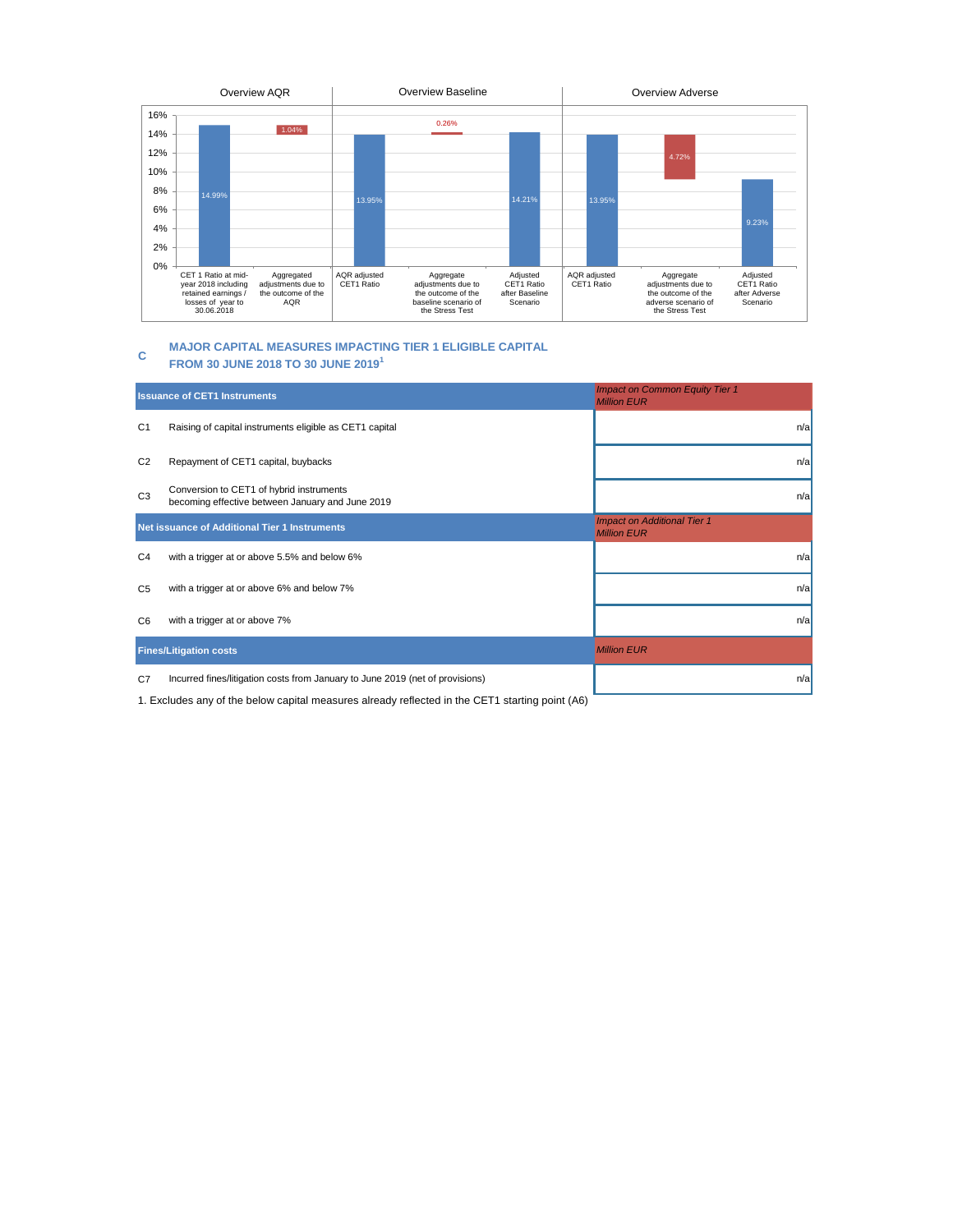1. Excludes any of the below capital measures already reflected in the CET1 starting point (A6)

|                | <b>Issuance of CET1 Instruments</b>                                                          | <b>Impact on Common Equity Tier 1</b><br><b>Million EUR</b> |
|----------------|----------------------------------------------------------------------------------------------|-------------------------------------------------------------|
| C <sub>1</sub> | Raising of capital instruments eligible as CET1 capital                                      | n/a                                                         |
| C <sub>2</sub> | Repayment of CET1 capital, buybacks                                                          | n/a                                                         |
| C <sub>3</sub> | Conversion to CET1 of hybrid instruments<br>becoming effective between January and June 2019 | n/a                                                         |
|                | <b>Net issuance of Additional Tier 1 Instruments</b>                                         | <b>Impact on Additional Tier 1</b><br><b>Million EUR</b>    |
| C <sub>4</sub> | with a trigger at or above 5.5% and below 6%                                                 | n/a                                                         |
| C <sub>5</sub> | with a trigger at or above 6% and below 7%                                                   | n/a                                                         |
| C <sub>6</sub> | with a trigger at or above 7%                                                                | n/a                                                         |
|                | <b>Fines/Litigation costs</b>                                                                | <b>Million EUR</b>                                          |
| C7             | Incurred fines/litigation costs from January to June 2019 (net of provisions)                | n/a                                                         |

### **C MAJOR CAPITAL MEASURES IMPACTING TIER 1 ELIGIBLE CAPITAL FROM 30 JUNE 2018 TO 30 JUNE 20191**

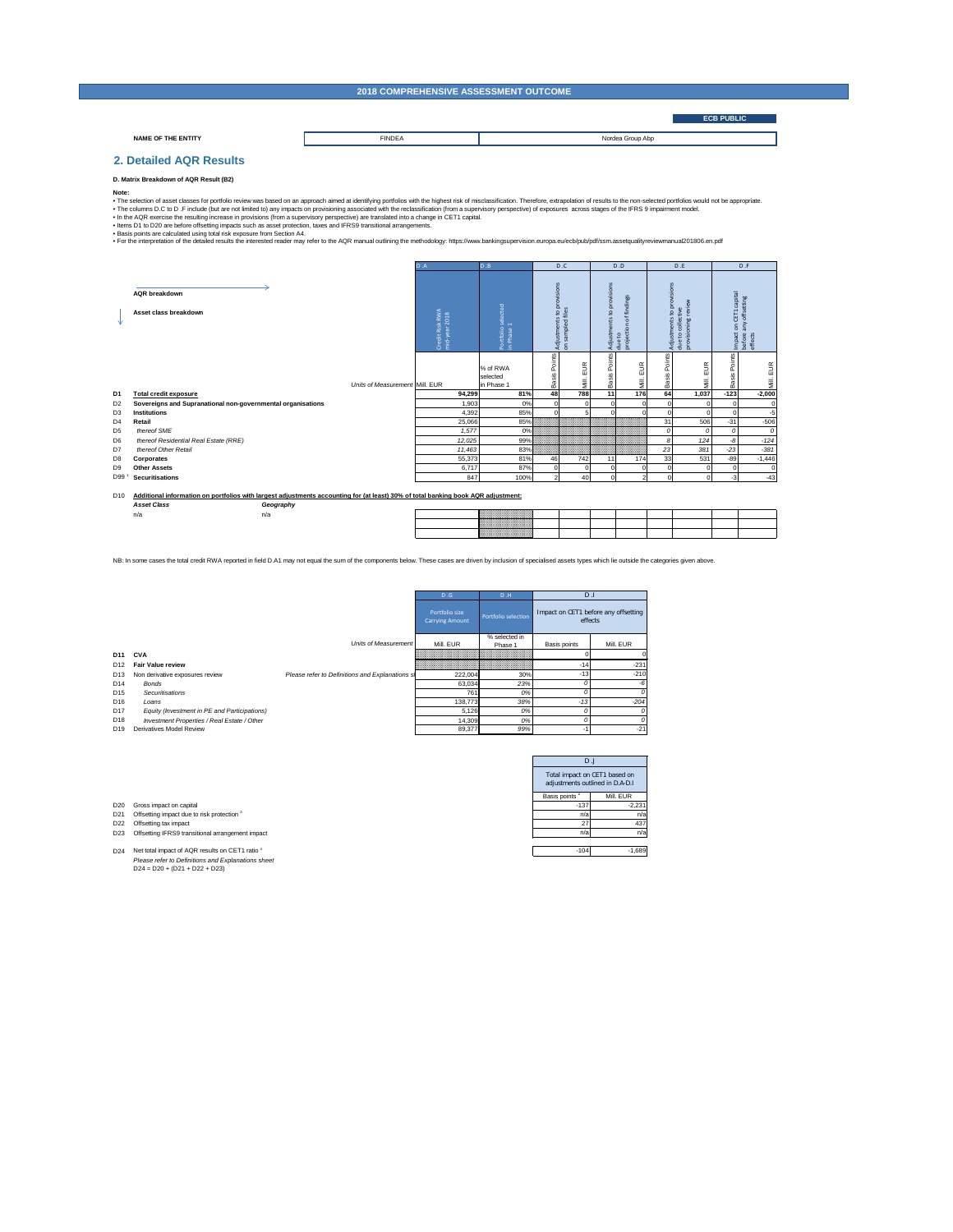# **2. Detailed AQR Results**

# **D. Matrix Breakdown of AQR Result (B2)**

D24 Net total impact of AQR results on CET1 ratio 4 *Please refer to Definitions and Explanations sheet* D24 = D20 + (D21 + D22 + D23)

 $-104$   $-1,689$ 

# D10 **Additional information on portfolios with largest adjustments accounting for (at least) 30% of total banking book AQR adjustment:**

|     | Asset Class | Geography |                                                                   |  |
|-----|-------------|-----------|-------------------------------------------------------------------|--|
| 1/d |             | n/a       |                                                                   |  |
|     |             |           | ,,,,,,,,,,,,,,,,,,,,,,                                            |  |
|     |             |           | ,,,,,,,,,,,,,,,,,,,,,,<br><i>VIIIIIIIIIIIIIIIIIIIIIIIIIIIIIII</i> |  |

D20 Gross impact on capital

D21 Offsetting impact due to risk protection <sup>3</sup>

D22 Offsetting tax impact

D23 Offsetting IFRS9 transitional arrangement impact

| D J                                                              |          |  |  |  |  |  |
|------------------------------------------------------------------|----------|--|--|--|--|--|
| Total impact on CET1 based on<br>adjustments outlined in D.A-D.I |          |  |  |  |  |  |
| Basis points <sup>2</sup><br>Mill. EUR                           |          |  |  |  |  |  |
| $-137$                                                           | $-2,231$ |  |  |  |  |  |
| n/a                                                              | n/a      |  |  |  |  |  |
| 27                                                               | 43.      |  |  |  |  |  |
| n/a                                                              |          |  |  |  |  |  |
|                                                                  |          |  |  |  |  |  |

| sions<br>sions<br>sions<br><b>AQR</b> breakdown<br>capital<br>findings<br>tting<br>.<br>2<br>5<br>$\overline{\delta}$<br>review<br>selected<br>$\Omega$<br>$\Omega$<br>collective<br>Risk RWA<br>ear 2018<br>$\mathbf{\mathbf{\mathbf{\mathsf{H}}}}$<br>Asset class breakdown<br>$\mathbf{c}$<br>$\overline{4}$<br>ய<br>ď<br>nts<br>due to collect<br>provisioning r<br>$\overline{a}$<br>S<br>S<br>$\overline{\phantom{0}}$<br>$\omega$<br>Portfolio <sup>4</sup><br>in Phase 1<br>stm<br>stm<br>ecti<br>Impact<br>before a<br>effects<br>mid-yea<br>菜<br>$\mathbf{c}$<br>edit<br>Adjus<br>ιέμ<br>Adju<br>proje<br>$du$ e<br>$\epsilon$<br>5.<br>⋖<br>Points<br>oints<br>Points<br>Points<br>EUR<br>$\widetilde{\mathbb{E}}$<br>EUR<br>S<br>% of RWA<br>Ш<br>Basis<br>Basis<br>$\frac{5}{3}$<br>Basis<br>selected<br>Mill.<br>Mill.<br>≣<br>$\overline{\overline{\textbf{z}}}$<br>.<br>Bã<br>in Phase 1<br>Units of Measurement Mill. EUR<br>788<br>11<br>176<br>$-123$<br>$-2,000$<br>94,299<br>81%<br>48<br>64<br>1,037<br>D <sub>1</sub><br><b>Total credit exposure</b><br>Sovereigns and Supranational non-governmental organisations<br>1,903<br>0%<br>$\mathbf 0$<br>D <sub>2</sub><br>$\Omega$<br>$\mathbf{0}$<br>ΟI<br>$-5$<br>4,392<br>85%<br>$\Omega$<br>5<br>D <sub>3</sub><br><b>Institutions</b><br>$\overline{0}$<br>$\Omega$<br>31<br>506<br>$-31$<br>$-506$<br>25,066<br>85%<br>D4<br>Retail<br>thereof SME<br>D <sub>5</sub><br>1,577<br>0%<br>0<br>0<br>0<br>99%<br>124<br>$-124$<br>12,025<br>-8<br>thereof Residential Real Estate (RRE)<br>D6<br>83%<br>23<br>381<br>$-23$<br>$-381$<br>thereof Other Retail<br>11,463<br>D7<br>55,373<br>81%<br>742<br>174<br>33<br>531<br>$-89$<br>$-1,446$<br>46<br>11<br>D <sub>8</sub><br><b>Corporates</b><br>87%<br>6,717<br>$\Omega$<br>$\overline{0}$<br>D <sub>9</sub><br>$\Omega$<br><b>Other Assets</b><br>$\Omega$<br>2<br>40<br>$-3$<br>D99 $1$<br><b>Securitisations</b><br>847<br>100%<br>$-43$<br>2<br>$\Omega$ |  | D.A | D.B | D.C | D.D | D.E | D.F |
|-----------------------------------------------------------------------------------------------------------------------------------------------------------------------------------------------------------------------------------------------------------------------------------------------------------------------------------------------------------------------------------------------------------------------------------------------------------------------------------------------------------------------------------------------------------------------------------------------------------------------------------------------------------------------------------------------------------------------------------------------------------------------------------------------------------------------------------------------------------------------------------------------------------------------------------------------------------------------------------------------------------------------------------------------------------------------------------------------------------------------------------------------------------------------------------------------------------------------------------------------------------------------------------------------------------------------------------------------------------------------------------------------------------------------------------------------------------------------------------------------------------------------------------------------------------------------------------------------------------------------------------------------------------------------------------------------------------------------------------------------------------------------------------------------------------------------------------------------------------------------------------------------------------------------------------------------------------------------------------------|--|-----|-----|-----|-----|-----|-----|
|                                                                                                                                                                                                                                                                                                                                                                                                                                                                                                                                                                                                                                                                                                                                                                                                                                                                                                                                                                                                                                                                                                                                                                                                                                                                                                                                                                                                                                                                                                                                                                                                                                                                                                                                                                                                                                                                                                                                                                                         |  |     |     |     |     |     |     |
|                                                                                                                                                                                                                                                                                                                                                                                                                                                                                                                                                                                                                                                                                                                                                                                                                                                                                                                                                                                                                                                                                                                                                                                                                                                                                                                                                                                                                                                                                                                                                                                                                                                                                                                                                                                                                                                                                                                                                                                         |  |     |     |     |     |     |     |
|                                                                                                                                                                                                                                                                                                                                                                                                                                                                                                                                                                                                                                                                                                                                                                                                                                                                                                                                                                                                                                                                                                                                                                                                                                                                                                                                                                                                                                                                                                                                                                                                                                                                                                                                                                                                                                                                                                                                                                                         |  |     |     |     |     |     |     |
|                                                                                                                                                                                                                                                                                                                                                                                                                                                                                                                                                                                                                                                                                                                                                                                                                                                                                                                                                                                                                                                                                                                                                                                                                                                                                                                                                                                                                                                                                                                                                                                                                                                                                                                                                                                                                                                                                                                                                                                         |  |     |     |     |     |     |     |
|                                                                                                                                                                                                                                                                                                                                                                                                                                                                                                                                                                                                                                                                                                                                                                                                                                                                                                                                                                                                                                                                                                                                                                                                                                                                                                                                                                                                                                                                                                                                                                                                                                                                                                                                                                                                                                                                                                                                                                                         |  |     |     |     |     |     |     |
|                                                                                                                                                                                                                                                                                                                                                                                                                                                                                                                                                                                                                                                                                                                                                                                                                                                                                                                                                                                                                                                                                                                                                                                                                                                                                                                                                                                                                                                                                                                                                                                                                                                                                                                                                                                                                                                                                                                                                                                         |  |     |     |     |     |     |     |
|                                                                                                                                                                                                                                                                                                                                                                                                                                                                                                                                                                                                                                                                                                                                                                                                                                                                                                                                                                                                                                                                                                                                                                                                                                                                                                                                                                                                                                                                                                                                                                                                                                                                                                                                                                                                                                                                                                                                                                                         |  |     |     |     |     |     |     |
|                                                                                                                                                                                                                                                                                                                                                                                                                                                                                                                                                                                                                                                                                                                                                                                                                                                                                                                                                                                                                                                                                                                                                                                                                                                                                                                                                                                                                                                                                                                                                                                                                                                                                                                                                                                                                                                                                                                                                                                         |  |     |     |     |     |     |     |
|                                                                                                                                                                                                                                                                                                                                                                                                                                                                                                                                                                                                                                                                                                                                                                                                                                                                                                                                                                                                                                                                                                                                                                                                                                                                                                                                                                                                                                                                                                                                                                                                                                                                                                                                                                                                                                                                                                                                                                                         |  |     |     |     |     |     |     |
|                                                                                                                                                                                                                                                                                                                                                                                                                                                                                                                                                                                                                                                                                                                                                                                                                                                                                                                                                                                                                                                                                                                                                                                                                                                                                                                                                                                                                                                                                                                                                                                                                                                                                                                                                                                                                                                                                                                                                                                         |  |     |     |     |     |     |     |
|                                                                                                                                                                                                                                                                                                                                                                                                                                                                                                                                                                                                                                                                                                                                                                                                                                                                                                                                                                                                                                                                                                                                                                                                                                                                                                                                                                                                                                                                                                                                                                                                                                                                                                                                                                                                                                                                                                                                                                                         |  |     |     |     |     |     |     |
|                                                                                                                                                                                                                                                                                                                                                                                                                                                                                                                                                                                                                                                                                                                                                                                                                                                                                                                                                                                                                                                                                                                                                                                                                                                                                                                                                                                                                                                                                                                                                                                                                                                                                                                                                                                                                                                                                                                                                                                         |  |     |     |     |     |     |     |

### **Note:**

. The selection of asset classes for portfolio review was based on an approach aimed at identifying portfolios with the highest risk of misclassification. Therefore, extrapolation of results to the non-selected portfolios

• The columns D.C to D.F include (but are not limited to) any impacts on provisioning associated with the reclassification (from a supervisory perspective) of exposures across stages of the IFRS 9 impairment model.

|                 |                                              |                                                 | D.G                                      | D.H                      | D.1                                             |           |
|-----------------|----------------------------------------------|-------------------------------------------------|------------------------------------------|--------------------------|-------------------------------------------------|-----------|
|                 |                                              |                                                 | Portfolio size<br><b>Carrying Amount</b> | Portfolio selection      | Impact on CET1 before any offsetting<br>effects |           |
|                 |                                              | Units of Measurement                            | Mill. EUR                                | % selected in<br>Phase 1 | Basis points                                    | Mill. EUR |
| D11             | <b>CVA</b>                                   |                                                 |                                          |                          |                                                 |           |
| D <sub>12</sub> | <b>Fair Value review</b>                     |                                                 |                                          |                          | $-14$                                           | $-231$    |
| D <sub>13</sub> | Non derivative exposures review              | Please refer to Definitions and Explanations si | 222,004                                  | 30%                      | $-13$                                           | $-210$    |
| D <sub>14</sub> | Bonds                                        |                                                 | 63,034                                   | 23%                      | 0                                               | -6        |
| D <sub>15</sub> | Securitisations                              |                                                 | 761                                      | 0%                       | O                                               | 0         |
| D <sub>16</sub> | Loans                                        |                                                 | 138,773                                  | 38%                      | $-13$                                           | $-204$    |
| D <sub>17</sub> | Equity (Investment in PE and Participations) |                                                 | 5,126                                    | 0%                       | 0                                               | 0         |
| D <sub>18</sub> | Investment Properties / Real Estate / Other  |                                                 | 14,309                                   | 0%                       | 0                                               | 0         |
| D <sub>19</sub> | <b>Derivatives Model Review</b>              |                                                 | 89,377                                   | 99%                      | -1                                              | $-21$     |

• In the AQR exercise the resulting increase in provisions (from a supervisory perspective) are translated into a change in CET1 capital.

• Items D1 to D20 are before offsetting impacts such as asset protection, taxes and IFRS9 transitional arrangements.

• Basis points are calculated using total risk exposure from Section A4.

• For the interpretation of the detailed results the interested reader may refer to the AQR manual outlining the methodology: https://www.bankingsupervision.europa.eu/ecb/pub/pdf/ssm.assetqualityreviewmanual201806.en.pdf

# **2018 COMPREHENSIVE ASSESSMENT OUTCOME**

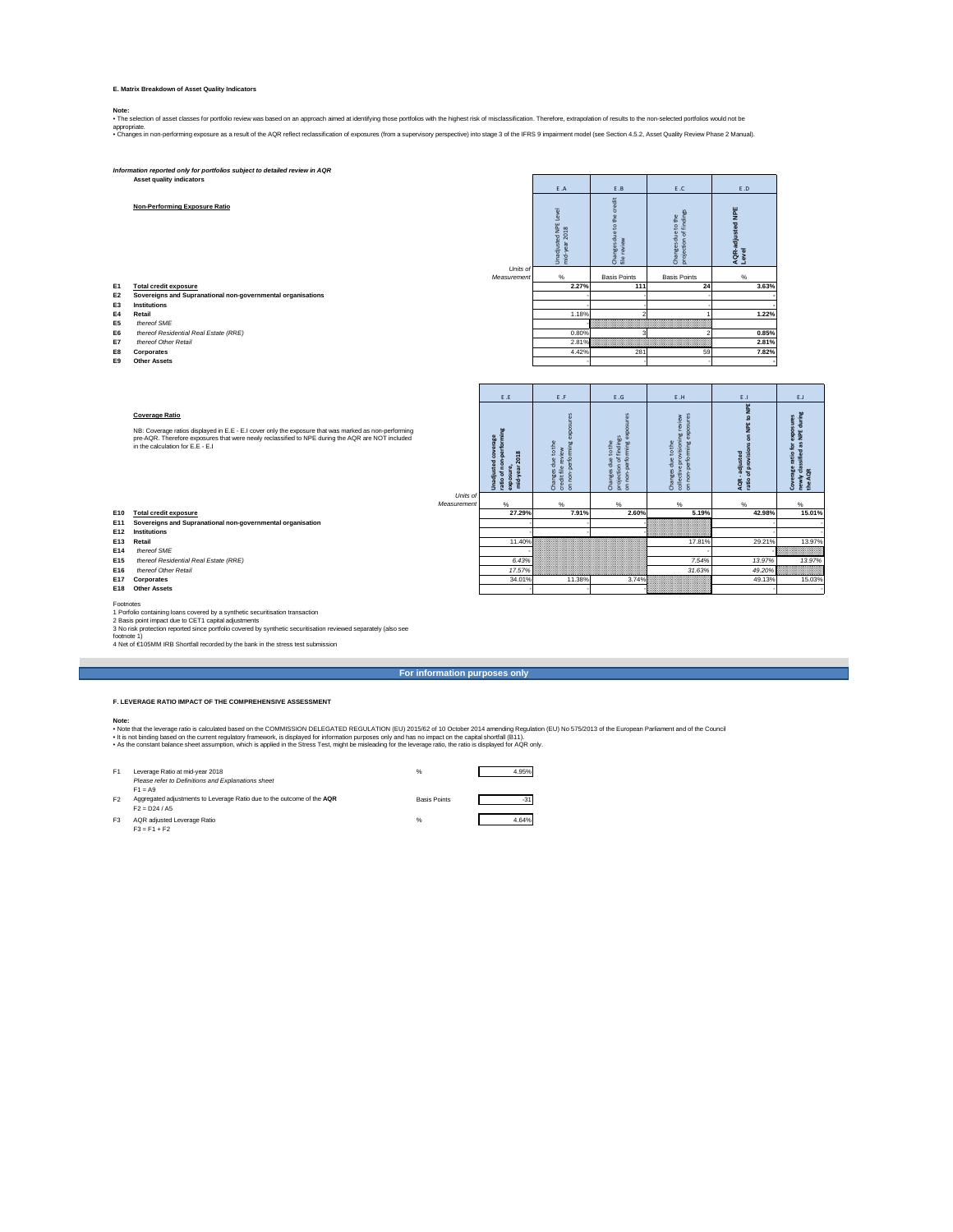# **E. Matrix Breakdown of Asset Quality Indicators**

# *Information reported only for portfolios subject to detailed review in AQR*

**Asset quality indicators**

# **Non-Performing Exposure Ratio**

- **E1 Total credit exposure**
- **E2 Sovereigns and Supranational non-governmental organisations**
- **E3 Institutions**
- **E4 Retail**
- **E5** *thereof SME*
- **E6** *thereof Residential Real Estate (RRE)*
- **E7** *thereof Other Retail*
- **E8 Corporates**
- **E9 Other Assets**

# **F. LEVERAGE RATIO IMPACT OF THE COMPREHENSIVE ASSESSMENT**

| F1             | Leverage Ratio at mid-year 2018<br>Please refer to Definitions and Explanations sheet     | %                   | 4.95% |
|----------------|-------------------------------------------------------------------------------------------|---------------------|-------|
|                | $F1 = A9$                                                                                 |                     |       |
| F <sub>2</sub> | Aggregated adjustments to Leverage Ratio due to the outcome of the AQR<br>$F2 = D24 / A5$ | <b>Basis Points</b> | -31   |
| F <sub>3</sub> | AQR adjusted Leverage Ratio<br>$F3 = F1 + F2$                                             | %                   | 4.64% |

# Footnotes

1 Porfolio containing loans covered by a synthetic securitisation transaction

2 Basis point impact due to CET1 capital adjustments

3 No risk protection reported since portfolio covered by synthetic securitisation reviewed separately (also see

footnote 1)

4 Net of €105MM IRB Shortfall recorded by the bank in the stress test submission

### **Note:**

• Note that the leverage ratio is calculated based on the COMMISSION DELEGATED REGULATION (EU) 2015/62 of 10 October 2014 amending Regulation (EU) No 575/2013 of the European Parliament and of the Council

|                 |                                                                                                                                                                                                                                                                       |                         | E.E                                                                                                           | E.F                                                                                          | E.G                                                                                                                              | E.H                                                                                                                                                            | E.1                                                               | E.J                                                            |
|-----------------|-----------------------------------------------------------------------------------------------------------------------------------------------------------------------------------------------------------------------------------------------------------------------|-------------------------|---------------------------------------------------------------------------------------------------------------|----------------------------------------------------------------------------------------------|----------------------------------------------------------------------------------------------------------------------------------|----------------------------------------------------------------------------------------------------------------------------------------------------------------|-------------------------------------------------------------------|----------------------------------------------------------------|
|                 | <b>Coverage Ratio</b><br>NB: Coverage ratios displayed in E.E - E.I cover only the exposure that was marked as non-performing<br>pre-AQR. Therefore exposures that were newly reclassified to NPE during the AQR are NOT included<br>in the calculation for E.E - E.I |                         | ΪĒ<br>ăg<br>់ទី<br>്ധ<br>18<br>$\mathbf{S}$<br>$\circ$<br>$\mathbf{b}$<br>exposu<br>'ਰ<br>ratio<br>$\ddot{=}$ | යි<br>to the<br>rming<br><u>م</u><br>due<br>$\overline{4}$<br>Change<br>credit t<br>$\delta$ | က္ကိ<br>$\omega$<br>rming<br>岩<br>⇇<br>$\overline{5}$<br>ڝ<br>$\frac{1}{2}$ is<br>$\sigma$<br>tio<br>Change<br>project<br>on non | exposures<br>review<br>ngo<br>sioni<br>forming<br>the<br>$\overline{S}$<br>$\omega$<br>$\overline{a}$<br>ਰੋ<br>non-pe<br>tiv<br>Change<br>colled<br>$\epsilon$ | NPE<br>$\frac{1}{\alpha}$<br>₹<br>ъ<br>ist<br>'ਰੌ<br>AQR<br>ratio | durin<br>NPE<br>ssifie<br>$\tilde{a}$<br>ಾ<br>the<br>ပိ<br>ိုင |
|                 |                                                                                                                                                                                                                                                                       | Units of<br>Measurement | $\frac{0}{0}$                                                                                                 | %                                                                                            | %                                                                                                                                | $\%$                                                                                                                                                           | $\%$                                                              | %                                                              |
| E10             | <b>Total credit exposure</b>                                                                                                                                                                                                                                          |                         | 27.29%                                                                                                        | 7.91%                                                                                        | 2.60%                                                                                                                            | 5.19%                                                                                                                                                          | 42.98%                                                            | 15.01%                                                         |
| E11             | Sovereigns and Supranational non-governmental organisation                                                                                                                                                                                                            |                         |                                                                                                               |                                                                                              |                                                                                                                                  |                                                                                                                                                                |                                                                   |                                                                |
| E12             | <b>Institutions</b>                                                                                                                                                                                                                                                   |                         |                                                                                                               |                                                                                              |                                                                                                                                  |                                                                                                                                                                |                                                                   |                                                                |
| E13             | Retail                                                                                                                                                                                                                                                                |                         | 11.40%                                                                                                        |                                                                                              |                                                                                                                                  | 17.81%                                                                                                                                                         | 29.21%                                                            | 13.97%                                                         |
| E14             | thereof SME                                                                                                                                                                                                                                                           |                         |                                                                                                               |                                                                                              |                                                                                                                                  |                                                                                                                                                                |                                                                   |                                                                |
| E <sub>15</sub> | thereof Residential Real Estate (RRE)                                                                                                                                                                                                                                 |                         | 6.43%                                                                                                         |                                                                                              |                                                                                                                                  | 7.54%                                                                                                                                                          | 13.97%                                                            | 13.97%                                                         |
| E16             | thereof Other Retail                                                                                                                                                                                                                                                  |                         | 17.57%                                                                                                        |                                                                                              |                                                                                                                                  | 31.63%                                                                                                                                                         | 49.20%                                                            |                                                                |
| E17             | <b>Corporates</b>                                                                                                                                                                                                                                                     |                         | 34.01%                                                                                                        | 11.38%                                                                                       | 3.74%                                                                                                                            |                                                                                                                                                                | 49.13%                                                            | 15.03%                                                         |
| E18             | <b>Other Assets</b>                                                                                                                                                                                                                                                   |                         |                                                                                                               |                                                                                              |                                                                                                                                  |                                                                                                                                                                |                                                                   |                                                                |

- 
- 
- 
- 
- 
- 

|                         | $\sf E$ .<br>A                        | E.B                                      | $\sf{E}$ .<br>C                              | $\sf E$ .<br>D                   |
|-------------------------|---------------------------------------|------------------------------------------|----------------------------------------------|----------------------------------|
|                         | Unadjusted NPE Level<br>mid-year 2018 | Changes due to the credit<br>file review | projection of findings<br>Changes due to the | <b>AQR-adjusted NPE</b><br>Level |
| Units of<br>Measurement | $\%$                                  | <b>Basis Points</b>                      | <b>Basis Points</b>                          | $\%$                             |
|                         | 2.27%                                 | 111                                      | 24                                           | 3.63%                            |
|                         |                                       |                                          |                                              |                                  |
|                         |                                       |                                          |                                              |                                  |
|                         | 1.18%                                 | 2                                        | 1                                            | 1.22%                            |
|                         |                                       |                                          |                                              |                                  |
|                         | 0.80%                                 | 3                                        | 2                                            | 0.85%                            |
|                         | 2.81%                                 |                                          |                                              | 2.81%                            |
|                         | 4.42%<br>281                          |                                          | 59                                           | 7.82%                            |
|                         |                                       |                                          |                                              |                                  |

. The selection of asset classes for portfolio review was based on an approach aimed at identifying those portfolios with the highest risk of misclassification. Therefore, extrapolation of results to the non-selected portf appropriate.

. Changes in non-performing exposure as a result of the AQR reflect reclassification of exposures (from a supervisory perspective) into stage 3 of the IFRS 9 impairment model (see Section 4.5.2, Asset Quality Review Phase

• It is not binding based on the current regulatory framework, is displayed for information purposes only and has no impact on the capital shortfall (B11).

• As the constant balance sheet assumption, which is applied in the Stress Test, might be misleading for the leverage ratio, the ratio is displayed for AQR only.

# **For information purposes only**

**Note:**